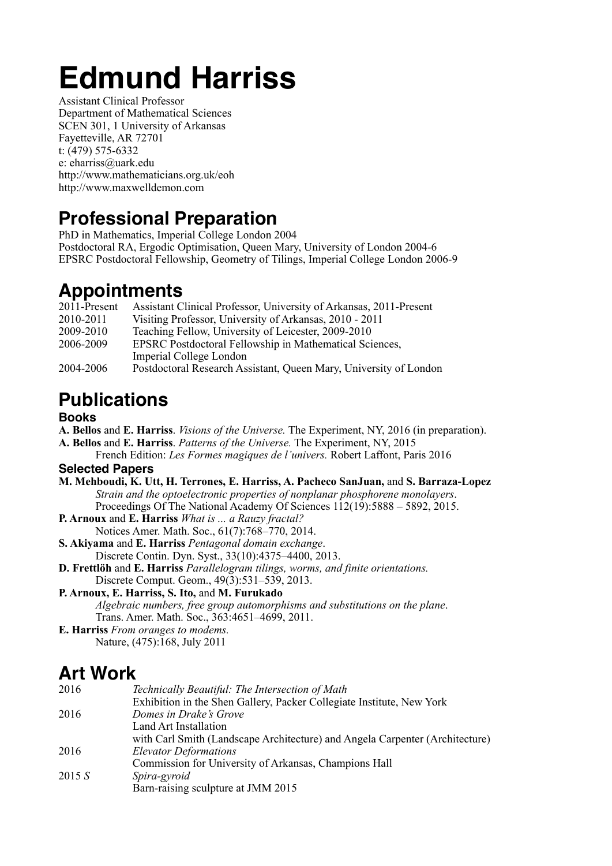# **Edmund Harriss**

Assistant Clinical Professor Department of Mathematical Sciences SCEN 301, 1 University of Arkansas Fayetteville, AR 72701 t: (479) 575-6332 e: eharriss@uark.edu http://www.mathematicians.org.uk/eoh http://www.maxwelldemon.com

### **Professional Preparation**

PhD in Mathematics, Imperial College London 2004 Postdoctoral RA, Ergodic Optimisation, Queen Mary, University of London 2004-6 EPSRC Postdoctoral Fellowship, Geometry of Tilings, Imperial College London 2006-9

### **Appointments**

| 2011-Present | Assistant Clinical Professor, University of Arkansas, 2011-Present |
|--------------|--------------------------------------------------------------------|
| 2010-2011    | Visiting Professor, University of Arkansas, 2010 - 2011            |
| 2009-2010    | Teaching Fellow, University of Leicester, 2009-2010                |
| 2006-2009    | <b>EPSRC</b> Postdoctoral Fellowship in Mathematical Sciences,     |
|              | Imperial College London                                            |
| 2004-2006    | Postdoctoral Research Assistant, Queen Mary, University of London  |

# **Publications**

#### **Books**

- **A. Bellos** and **E. Harriss**. *Visions of the Universe.* The Experiment, NY, 2016 (in preparation).
- **A. Bellos** and **E. Harriss**. *Patterns of the Universe.* The Experiment, NY, 2015

 French Edition: *Les Formes magiques de l'univers.* Robert Laffont, Paris 2016 **Selected Papers**

**M. Mehboudi, K. Utt, H. Terrones, E. Harriss, A. Pacheco SanJuan,** and **S. Barraza-Lopez** *Strain and the optoelectronic properties of nonplanar phosphorene monolayers*. Proceedings Of The National Academy Of Sciences 112(19):5888 – 5892, 2015.

- **P. Arnoux** and **E. Harriss** *What is ... a Rauzy fractal?* Notices Amer. Math. Soc., 61(7):768–770, 2014.
- **S. Akiyama** and **E. Harriss** *Pentagonal domain exchange*. Discrete Contin. Dyn. Syst., 33(10):4375–4400, 2013.
- **D. Frettlöh** and **E. Harriss** *Parallelogram tilings, worms, and finite orientations.* Discrete Comput. Geom., 49(3):531–539, 2013.
- **P. Arnoux, E. Harriss, S. Ito,** and **M. Furukado** *Algebraic numbers, free group automorphisms and substitutions on the plane*. Trans. Amer. Math. Soc., 363:4651–4699, 2011.

**E. Harriss** *From oranges to modems.* Nature, (475):168, July 2011

### **Art Work**

| 2016   | Technically Beautiful: The Intersection of Math                              |
|--------|------------------------------------------------------------------------------|
|        | Exhibition in the Shen Gallery, Packer Collegiate Institute, New York        |
| 2016   | Domes in Drake's Grove                                                       |
|        | Land Art Installation                                                        |
|        | with Carl Smith (Landscape Architecture) and Angela Carpenter (Architecture) |
| 2016   | <b>Elevator Deformations</b>                                                 |
|        | Commission for University of Arkansas, Champions Hall                        |
| 2015 S | Spira-gyroid                                                                 |
|        | Barn-raising sculpture at JMM 2015                                           |